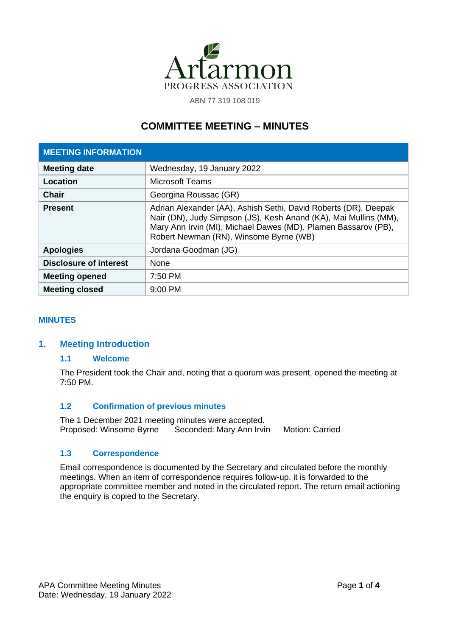

ABN 77 319 108 019

# **COMMITTEE MEETING – MINUTES**

| <b>MEETING INFORMATION</b>    |                                                                                                                                                                                                                                                 |  |
|-------------------------------|-------------------------------------------------------------------------------------------------------------------------------------------------------------------------------------------------------------------------------------------------|--|
| <b>Meeting date</b>           | Wednesday, 19 January 2022                                                                                                                                                                                                                      |  |
| Location                      | Microsoft Teams                                                                                                                                                                                                                                 |  |
| Chair                         | Georgina Roussac (GR)                                                                                                                                                                                                                           |  |
| <b>Present</b>                | Adrian Alexander (AA), Ashish Sethi, David Roberts (DR), Deepak<br>Nair (DN), Judy Simpson (JS), Kesh Anand (KA), Mai Mullins (MM),<br>Mary Ann Irvin (MI), Michael Dawes (MD), Plamen Bassarov (PB),<br>Robert Newman (RN), Winsome Byrne (WB) |  |
| <b>Apologies</b>              | Jordana Goodman (JG)                                                                                                                                                                                                                            |  |
| <b>Disclosure of interest</b> | <b>None</b>                                                                                                                                                                                                                                     |  |
| <b>Meeting opened</b>         | 7:50 PM                                                                                                                                                                                                                                         |  |
| <b>Meeting closed</b>         | $9:00$ PM                                                                                                                                                                                                                                       |  |

#### **MINUTES**

### **1. Meeting Introduction**

#### **1.1 Welcome**

The President took the Chair and, noting that a quorum was present, opened the meeting at 7:50 PM.

#### **1.2 Confirmation of previous minutes**

The 1 December 2021 meeting minutes were accepted. Proposed: Winsome Byrne Seconded: Mary Ann Irvin Motion: Carried

#### **1.3 Correspondence**

Email correspondence is documented by the Secretary and circulated before the monthly meetings. When an item of correspondence requires follow-up, it is forwarded to the appropriate committee member and noted in the circulated report. The return email actioning the enquiry is copied to the Secretary.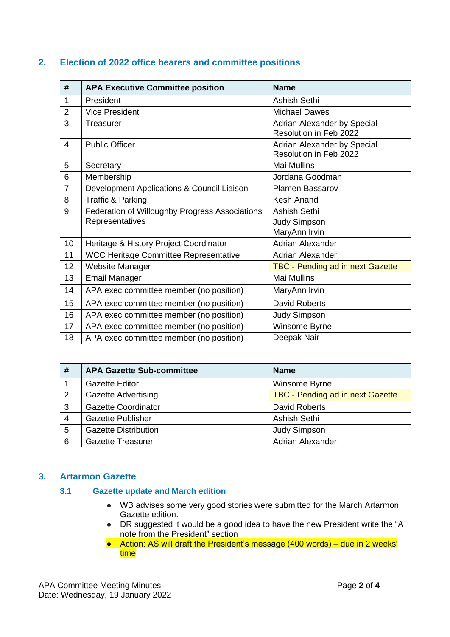### **2. Election of 2022 office bearers and committee positions**

| #              | <b>APA Executive Committee position</b>        | <b>Name</b>                                           |
|----------------|------------------------------------------------|-------------------------------------------------------|
| 1              | President                                      | Ashish Sethi                                          |
| $\overline{2}$ | <b>Vice President</b>                          | <b>Michael Dawes</b>                                  |
| 3              | <b>Treasurer</b>                               | Adrian Alexander by Special<br>Resolution in Feb 2022 |
| $\overline{4}$ | <b>Public Officer</b>                          | Adrian Alexander by Special<br>Resolution in Feb 2022 |
| 5              | Secretary                                      | <b>Mai Mullins</b>                                    |
| 6              | Membership                                     | Jordana Goodman                                       |
| $\overline{7}$ | Development Applications & Council Liaison     | <b>Plamen Bassarov</b>                                |
| 8              | Traffic & Parking                              | Kesh Anand                                            |
| 9              | Federation of Willoughby Progress Associations | Ashish Sethi                                          |
|                | Representatives                                | Judy Simpson                                          |
|                |                                                | MaryAnn Irvin                                         |
| 10             | Heritage & History Project Coordinator         | <b>Adrian Alexander</b>                               |
| 11             | <b>WCC Heritage Committee Representative</b>   | Adrian Alexander                                      |
| 12             | Website Manager                                | <b>TBC - Pending ad in next Gazette</b>               |
| 13             | <b>Email Manager</b>                           | <b>Mai Mullins</b>                                    |
| 14             | APA exec committee member (no position)        | MaryAnn Irvin                                         |
| 15             | APA exec committee member (no position)        | <b>David Roberts</b>                                  |
| 16             | APA exec committee member (no position)        | <b>Judy Simpson</b>                                   |
| 17             | APA exec committee member (no position)        | Winsome Byrne                                         |
| 18             | APA exec committee member (no position)        | Deepak Nair                                           |

| #              | <b>APA Gazette Sub-committee</b> | <b>Name</b>                             |
|----------------|----------------------------------|-----------------------------------------|
|                | <b>Gazette Editor</b>            | Winsome Byrne                           |
| $\overline{2}$ | <b>Gazette Advertising</b>       | <b>TBC - Pending ad in next Gazette</b> |
| 3              | <b>Gazette Coordinator</b>       | <b>David Roberts</b>                    |
| 4              | <b>Gazette Publisher</b>         | Ashish Sethi                            |
| 5              | <b>Gazette Distribution</b>      | <b>Judy Simpson</b>                     |
| 6              | <b>Gazette Treasurer</b>         | Adrian Alexander                        |

### **3. Artarmon Gazette**

#### **3.1 Gazette update and March edition**

- WB advises some very good stories were submitted for the March Artarmon Gazette edition.
- DR suggested it would be a good idea to have the new President write the "A note from the President" section
- Action: AS will draft the President's message (400 words) due in 2 weeks' time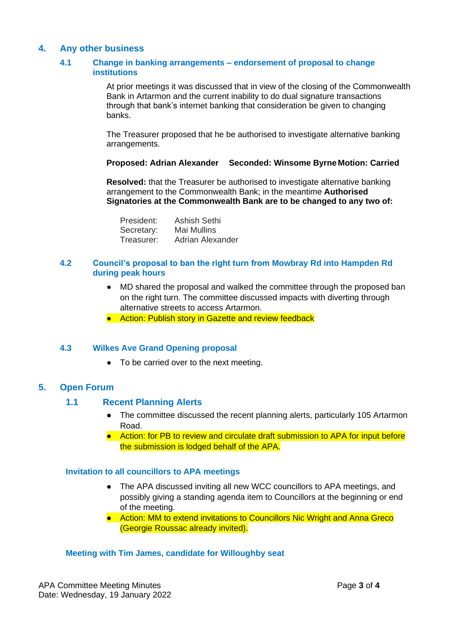### **4. Any other business**

#### **4.1 Change in banking arrangements – endorsement of proposal to change institutions**

At prior meetings it was discussed that in view of the closing of the Commonwealth Bank in Artarmon and the current inability to do dual signature transactions through that bank's internet banking that consideration be given to changing banks.

The Treasurer proposed that he be authorised to investigate alternative banking arrangements.

#### **Proposed: Adrian Alexander Seconded: Winsome Byrne Motion: Carried**

**Resolved:** that the Treasurer be authorised to investigate alternative banking arrangement to the Commonwealth Bank; in the meantime **Authorised Signatories at the Commonwealth Bank are to be changed to any two of:**

| President: | Ashish Sethi     |
|------------|------------------|
| Secretary: | Mai Mullins      |
| Treasurer: | Adrian Alexander |

#### **4.2 Council's proposal to ban the right turn from Mowbray Rd into Hampden Rd during peak hours**

- MD shared the proposal and walked the committee through the proposed ban on the right turn. The committee discussed impacts with diverting through alternative streets to access Artarmon.
- Action: Publish story in Gazette and review feedback

#### **4.3 Wilkes Ave Grand Opening proposal**

● To be carried over to the next meeting.

#### **5. Open Forum**

#### **1.1 Recent Planning Alerts**

- The committee discussed the recent planning alerts, particularly 105 Artarmon Road.
- Action: for PB to review and circulate draft submission to APA for input before the submission is lodged behalf of the APA.

#### **Invitation to all councillors to APA meetings**

- The APA discussed inviting all new WCC councillors to APA meetings, and possibly giving a standing agenda item to Councillors at the beginning or end of the meeting.
- Action: MM to extend invitations to Councillors Nic Wright and Anna Greco (Georgie Roussac already invited).

#### **Meeting with Tim James, candidate for Willoughby seat**